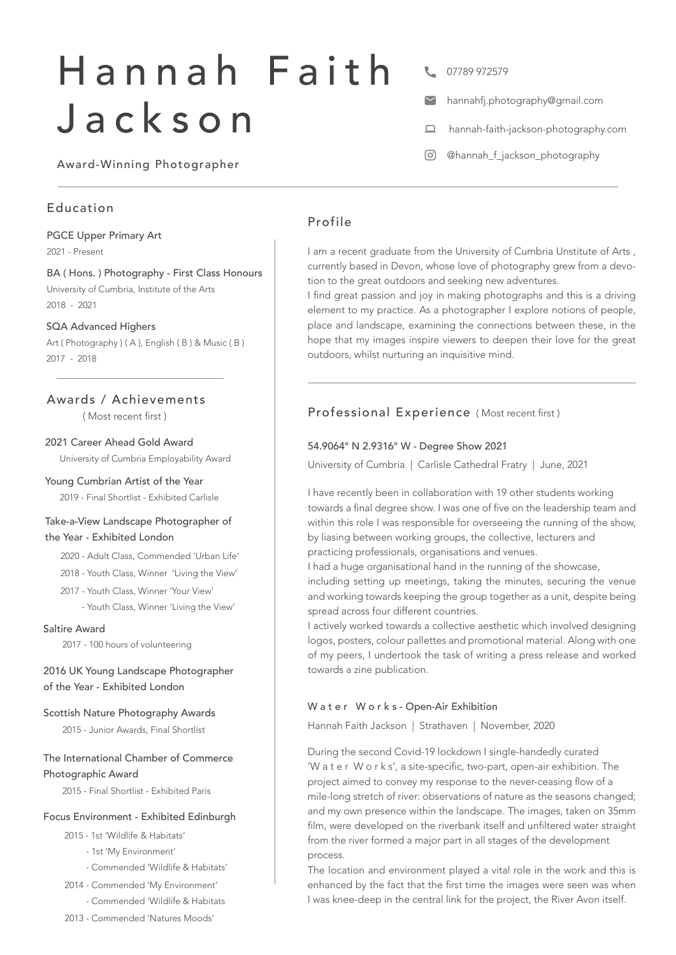# Hannah Faith Jackson

- **L** 07789 972579
- hannahfj.photography@gmail.com
- hannah-faith-jackson-photography.com  $\Box$
- @hannah\_f\_jackson\_photography ര

Award-Winning Photographer

# Education

PGCE Upper Primary Art 2021 - Present

BA ( Hons. ) Photography - First Class Honours University of Cumbria, Institute of the Arts 2018 - 2021

# SQA Advanced Highers

Art ( Photography ) (A ), English (B ) & Music (B ) 2017 - 2018

## Awards / Achievements

( Most recent first )

2021 Career Ahead Gold Award University of Cumbria Employability Award

Young Cumbrian Artist of the Year 2019 - Final Shortlist - Exhibited Carlisle

### Take-a-View Landscape Photographer of the Year - Exhibited London

2020 - Adult Class, Commended 'Urban Life'

- 2018 Youth Class, Winner 'Living the View'
- 2017 Youth Class, Winner 'Your View'
	- Youth Class, Winner 'Living the View'

### Saltire Award

2017 - 100 hours of volunteering

## 2016 UK Young Landscape Photographer of the Year - Exhibited London

### Scottish Nature Photography Awards

2015 - Junior Awards, Final Shortlist

### The International Chamber of Commerce Photographic Award

2015 - Final Shortlist - Exhibited Paris

### Focus Environment - Exhibited Edinburgh

2015 - 1st 'Wildlife & Habitats'

- 1st 'My Environment'
- Commended 'Wildlife & Habitats'
- 2014 Commended 'My Environment'
	- Commended 'Wildlife & Habitats

2013 - Commended 'Natures Moods'

# Profile

I am a recent graduate from the University of Cumbria Unstitute of Arts , currently based in Devon, whose love of photography grew from a devotion to the great outdoors and seeking new adventures.

I find great passion and joy in making photographs and this is a driving element to my practice. As a photographer I explore notions of people, place and landscape, examining the connections between these, in the hope that my images inspire viewers to deepen their love for the great outdoors, whilst nurturing an inquisitive mind.

## Professional Experience ( Most recent first )

### 54.9064° N 2.9316° W - Degree Show 2021

University of Cumbria | Carlisle Cathedral Fratry | June, 2021

I have recently been in collaboration with 19 other students working towards a final degree show. I was one of five on the leadership team and within this role I was responsible for overseeing the running of the show, by liasing between working groups, the collective, lecturers and practicing professionals, organisations and venues.

I had a huge organisational hand in the running of the showcase,

including setting up meetings, taking the minutes, securing the venue and working towards keeping the group together as a unit, despite being spread across four different countries.

I actively worked towards a collective aesthetic which involved designing logos, posters, colour pallettes and promotional material. Along with one of my peers, I undertook the task of writing a press release and worked towards a zine publication.

### W at er W o r k s - Open-Air Exhibition

Hannah Faith Jackson | Strathaven | November, 2020

During the second Covid-19 lockdown I single-handedly curated 'W a t e r W o r k s', a site-specific, two-part, open-air exhibition. The project aimed to convey my response to the never-ceasing flow of a mile-long stretch of river: observations of nature as the seasons changed; and my own presence within the landscape. The images, taken on 35mm film, were developed on the riverbank itself and unfiltered water straight from the river formed a major part in all stages of the development process.

The location and environment played a vital role in the work and this is enhanced by the fact that the first time the images were seen was when I was knee-deep in the central link for the project, the River Avon itself.